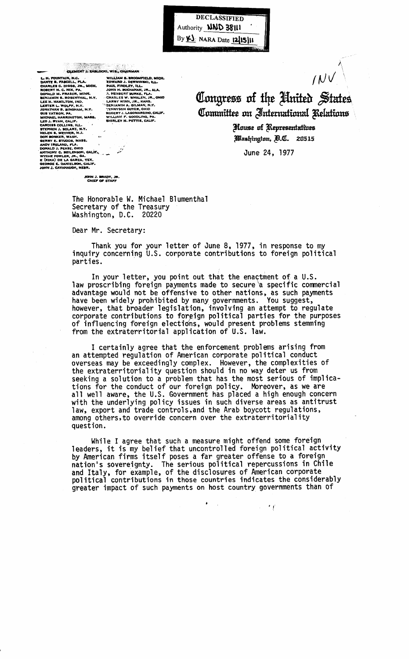DECLASSIFIED Authority **NND 38111** By K) NARA Date 12/15/11

CENERY J. ZABLOCKI, W.<br>
DANTE B. PASCELL, FLA. (DINTAIN, N.C. CA. EDITAIN, N.C. CA. EDITAIN, N.C. CA. EDITAINER C. DIGGS, ITA. (H. 1998)<br>
DENIAMIN S. ROSENTHAL, N.Y. CHA. (H. 1998)<br>
DENIAMIN S. ROSENTHAL, N.Y. CHA. (H. 199 CLEMENT J. ZABLOCKI, WIS., CHAIRMAN LOCKI, WIS., CHAIRMAN<br>
WILLIAM S. BROOMFIELD, MICH.<br>
EDWARD J. DERWINSKI, ILL.<br>
PAUL FINDLEY, ILL.<br>
JOHN H. BUCHANAN, JR., ALA.<br>
A. HEGBERT BURKE, FLA.<br>
CHARY WINN, JR., KANS.<br>
"LARRY WINN, JR., KANS.<br>
"GENJAMIN A. GILMAN, ROBERT J. LAGOMARSINO, CANALLIAM F. GOODLING, PA.<br>SHIRLEY N. PETTIS, CALIF.  $\mathbb{R}^n$ 

Congress of the Huited States Committee on International Relations

 $IVV$ 

House of Representatives Washington, D.C. 20515

June 24, 1977

JOHN J. BRADY, JR.<br>CHIEF OF STAFF

The Honorable W. Michael Blumenthal Secretary of the Treasury Washington, D.C. 20220

O, CALIF

Dear Mr. Secretary:

Thank you for your letter of June 8, 1977, in response to my inquiry concerning U.S. corporate contributions to foreign political parties.

In your letter, you point out that the enactment of a U.S.<br>law proscribing foreign payments made to secure a specific commercial advantage would not be offensive to other nations, as such payments<br>have been widely prohibited by many governments. You suggest,<br>however, that broader legislation, involving an attempt to regulate<br>corporate contributions of influencing foreign elections, would present problems stemming from the extraterritorial application of U.S. law.

I certainly agree that the enforcement problems arising from<br>an attempted regulation of American corporate political conduct overseas may be exceedingly complex. However, the complexities of the extraterritoriality question should in no way deter us from seeking a solution to a problem that has the most serious of implica-<br>tions for the conduct of our foreign policy. Moreover, as we are<br>all well aware, the U.S. Government has placed a high enough concern with the underlying policy issues in such diverse areas as antitrust law, export and trade controls, and the Arab boycott regulations, among others, to override concern over the extraterritoriality question.

While I agree that such a measure might offend some foreign leaders, it is my belief that uncontrolled foreign political activity<br>by American firms itself poses a far greater offense to a foreign<br>nation's sovereignty. The serious political repercussions in Chile and Italy, for example, of the disclosures of American corporate<br>political contributions in those countries indicates the considerably greater impact of such payments on host country governments than of

 $\sim$  11